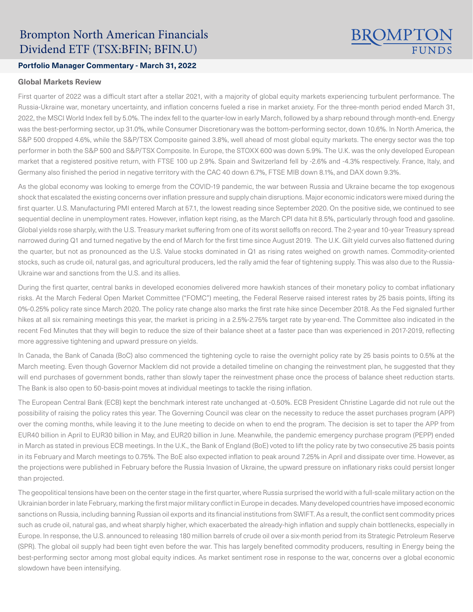# Brompton North American Financials Dividend ETF (TSX:BFIN; BFIN.U)

# **BROMPT**

## **Portfolio Manager Commentary - March 31, 2022**

#### **Global Markets Review**

First quarter of 2022 was a difficult start after a stellar 2021, with a majority of global equity markets experiencing turbulent performance. The Russia-Ukraine war, monetary uncertainty, and inflation concerns fueled a rise in market anxiety. For the three-month period ended March 31, 2022, the MSCI World Index fell by 5.0%. The index fell to the quarter-low in early March, followed by a sharp rebound through month-end. Energy was the best-performing sector, up 31.0%, while Consumer Discretionary was the bottom-performing sector, down 10.6%. In North America, the S&P 500 dropped 4.6%, while the S&P/TSX Composite gained 3.8%, well ahead of most global equity markets. The energy sector was the top performer in both the S&P 500 and S&P/TSX Composite. In Europe, the STOXX 600 was down 5.9%. The U.K. was the only developed European market that a registered positive return, with FTSE 100 up 2.9%. Spain and Switzerland fell by -2.6% and -4.3% respectively. France, Italy, and Germany also finished the period in negative territory with the CAC 40 down 6.7%, FTSE MIB down 8.1%, and DAX down 9.3%.

As the global economy was looking to emerge from the COVID-19 pandemic, the war between Russia and Ukraine became the top exogenous shock that escalated the existing concerns over inflation pressure and supply chain disruptions. Major economic indicators were mixed during the first quarter. U.S. Manufacturing PMI entered March at 57.1, the lowest reading since September 2020. On the positive side, we continued to see sequential decline in unemployment rates. However, inflation kept rising, as the March CPI data hit 8.5%, particularly through food and gasoline. Global yields rose sharply, with the U.S. Treasury market suffering from one of its worst selloffs on record. The 2-year and 10-year Treasury spread narrowed during Q1 and turned negative by the end of March for the first time since August 2019. The U.K. Gilt yield curves also flattened during the quarter, but not as pronounced as the U.S. Value stocks dominated in Q1 as rising rates weighed on growth names. Commodity-oriented stocks, such as crude oil, natural gas, and agricultural producers, led the rally amid the fear of tightening supply. This was also due to the Russia-Ukraine war and sanctions from the U.S. and its allies.

During the first quarter, central banks in developed economies delivered more hawkish stances of their monetary policy to combat inflationary risks. At the March Federal Open Market Committee ("FOMC") meeting, the Federal Reserve raised interest rates by 25 basis points, lifting its 0%-0.25% policy rate since March 2020. The policy rate change also marks the first rate hike since December 2018. As the Fed signaled further hikes at all six remaining meetings this year, the market is pricing in a 2.5%-2.75% target rate by year-end. The Committee also indicated in the recent Fed Minutes that they will begin to reduce the size of their balance sheet at a faster pace than was experienced in 2017-2019, reflecting more aggressive tightening and upward pressure on yields.

In Canada, the Bank of Canada (BoC) also commenced the tightening cycle to raise the overnight policy rate by 25 basis points to 0.5% at the March meeting. Even though Governor Macklem did not provide a detailed timeline on changing the reinvestment plan, he suggested that they will end purchases of government bonds, rather than slowly taper the reinvestment phase once the process of balance sheet reduction starts. The Bank is also open to 50-basis-point moves at individual meetings to tackle the rising inflation.

The European Central Bank (ECB) kept the benchmark interest rate unchanged at -0.50%. ECB President Christine Lagarde did not rule out the possibility of raising the policy rates this year. The Governing Council was clear on the necessity to reduce the asset purchases program (APP) over the coming months, while leaving it to the June meeting to decide on when to end the program. The decision is set to taper the APP from EUR40 billion in April to EUR30 billion in May, and EUR20 billion in June. Meanwhile, the pandemic emergency purchase program (PEPP) ended in March as stated in previous ECB meetings. In the U.K., the Bank of England (BoE) voted to lift the policy rate by two consecutive 25 basis points in its February and March meetings to 0.75%. The BoE also expected inflation to peak around 7.25% in April and dissipate over time. However, as the projections were published in February before the Russia Invasion of Ukraine, the upward pressure on inflationary risks could persist longer than projected.

The geopolitical tensions have been on the center stage in the first quarter, where Russia surprised the world with a full-scale military action on the Ukrainian border in late February, marking the first major military conflict in Europe in decades. Many developed countries have imposed economic sanctions on Russia, including banning Russian oil exports and its financial institutions from SWIFT. As a result, the conflict sent commodity prices such as crude oil, natural gas, and wheat sharply higher, which exacerbated the already-high inflation and supply chain bottlenecks, especially in Europe. In response, the U.S. announced to releasing 180 million barrels of crude oil over a six-month period from its Strategic Petroleum Reserve (SPR). The global oil supply had been tight even before the war. This has largely benefited commodity producers, resulting in Energy being the best-performing sector among most global equity indices. As market sentiment rose in response to the war, concerns over a global economic slowdown have been intensifying.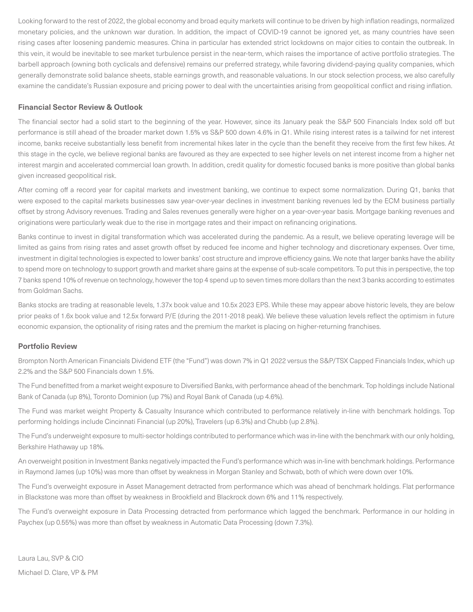Looking forward to the rest of 2022, the global economy and broad equity markets will continue to be driven by high inflation readings, normalized monetary policies, and the unknown war duration. In addition, the impact of COVID-19 cannot be ignored yet, as many countries have seen rising cases after loosening pandemic measures. China in particular has extended strict lockdowns on major cities to contain the outbreak. In this vein, it would be inevitable to see market turbulence persist in the near-term, which raises the importance of active portfolio strategies. The barbell approach (owning both cyclicals and defensive) remains our preferred strategy, while favoring dividend-paying quality companies, which generally demonstrate solid balance sheets, stable earnings growth, and reasonable valuations. In our stock selection process, we also carefully examine the candidate's Russian exposure and pricing power to deal with the uncertainties arising from geopolitical conflict and rising inflation.

#### **Financial Sector Review & Outlook**

The financial sector had a solid start to the beginning of the year. However, since its January peak the S&P 500 Financials Index sold off but performance is still ahead of the broader market down 1.5% vs S&P 500 down 4.6% in Q1. While rising interest rates is a tailwind for net interest income, banks receive substantially less benefit from incremental hikes later in the cycle than the benefit they receive from the first few hikes. At this stage in the cycle, we believe regional banks are favoured as they are expected to see higher levels on net interest income from a higher net interest margin and accelerated commercial loan growth. In addition, credit quality for domestic focused banks is more positive than global banks given increased geopolitical risk.

After coming off a record year for capital markets and investment banking, we continue to expect some normalization. During Q1, banks that were exposed to the capital markets businesses saw year-over-year declines in investment banking revenues led by the ECM business partially offset by strong Advisory revenues. Trading and Sales revenues generally were higher on a year-over-year basis. Mortgage banking revenues and originations were particularly weak due to the rise in mortgage rates and their impact on refinancing originations.

Banks continue to invest in digital transformation which was accelerated during the pandemic. As a result, we believe operating leverage will be limited as gains from rising rates and asset growth offset by reduced fee income and higher technology and discretionary expenses. Over time, investment in digital technologies is expected to lower banks' cost structure and improve efficiency gains. We note that larger banks have the ability to spend more on technology to support growth and market share gains at the expense of sub-scale competitors. To put this in perspective, the top 7 banks spend 10% of revenue on technology, however the top 4 spend up to seven times more dollars than the next 3 banks according to estimates from Goldman Sachs.

Banks stocks are trading at reasonable levels, 1.37x book value and 10.5x 2023 EPS. While these may appear above historic levels, they are below prior peaks of 1.6x book value and 12.5x forward P/E (during the 2011-2018 peak). We believe these valuation levels reflect the optimism in future economic expansion, the optionality of rising rates and the premium the market is placing on higher-returning franchises.

### **Portfolio Review**

Brompton North American Financials Dividend ETF (the "Fund") was down 7% in Q1 2022 versus the S&P/TSX Capped Financials Index, which up 2.2% and the S&P 500 Financials down 1.5%.

The Fund benefitted from a market weight exposure to Diversified Banks, with performance ahead of the benchmark. Top holdings include National Bank of Canada (up 8%), Toronto Dominion (up 7%) and Royal Bank of Canada (up 4.6%).

The Fund was market weight Property & Casualty Insurance which contributed to performance relatively in-line with benchmark holdings. Top performing holdings include Cincinnati Financial (up 20%), Travelers (up 6.3%) and Chubb (up 2.8%).

The Fund's underweight exposure to multi-sector holdings contributed to performance which was in-line with the benchmark with our only holding, Berkshire Hathaway up 18%.

An overweight position in Investment Banks negatively impacted the Fund's performance which was in-line with benchmark holdings. Performance in Raymond James (up 10%) was more than offset by weakness in Morgan Stanley and Schwab, both of which were down over 10%.

The Fund's overweight exposure in Asset Management detracted from performance which was ahead of benchmark holdings. Flat performance in Blackstone was more than offset by weakness in Brookfield and Blackrock down 6% and 11% respectively.

The Fund's overweight exposure in Data Processing detracted from performance which lagged the benchmark. Performance in our holding in Paychex (up 0.55%) was more than offset by weakness in Automatic Data Processing (down 7.3%).

Laura Lau, SVP & CIO Michael D. Clare, VP & PM